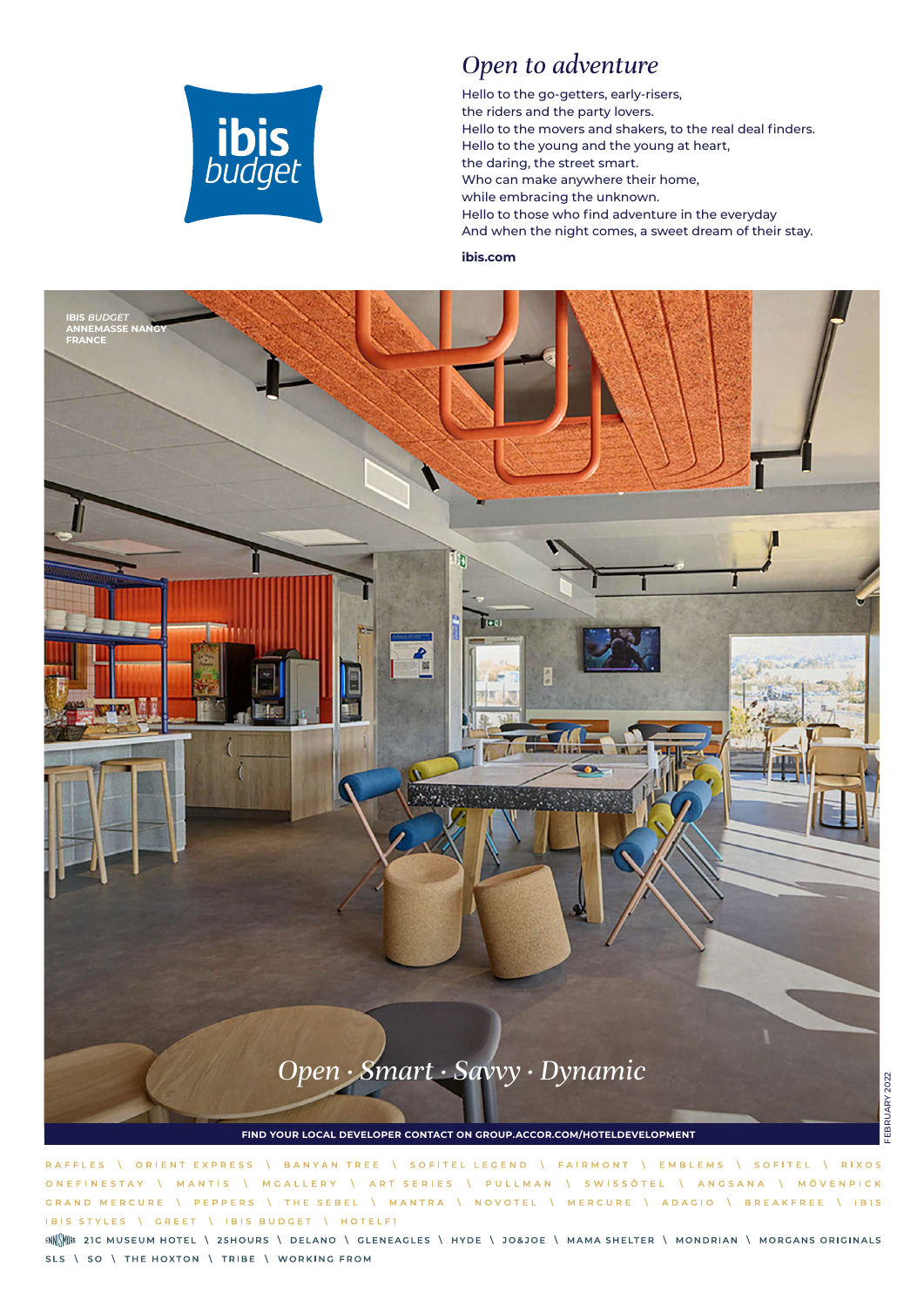

#### *Open to adventure*

Hello to the go-getters, early-risers, the riders and the party lovers. Hello to the movers and shakers, to the real deal finders. Hello to the young and the young at heart, the daring, the street smart. Who can make anywhere their home, while embracing the unknown. Hello to those who find adventure in the everyday And when the night comes, a sweet dream of their stay.

#### **ibis.com**



EBRUARY 2022 FEBRUARY 2022

RAFFLES \ ORIENT EXPRESS BANYAN TREE \ SOFITEL LEGEND \ FAIRMONT \ EMBLEMS \ SOFITEL \ RIXOS  $\Lambda$ \ ART SERIES \ PULLMAN \ SWISSÔTEL \ ANGSANA \ MÖVENPICK ONEFINESTAY \ MGALLERY  $\Delta$ MANTIS GRAND MERCURE **PEPPERS I THE SEBEL** \ MANTRA \ NOVOTEL \ MERCURE \ ADAGIO \ BREAKFREE \ IBIS IBIS STYLES \ GREET | IBIS BUDGET | HOTELFI

ENNE ENCORRER TO THE MUSEUM HOTEL \ 25HOURS \ DELANO \ GLENEAGLES \ HYDE \ JO&JOE \ MAMA SHELTER \ MONDRIAN \ MORGANS ORIGINALS SLS \ SO \ THE HOXTON \ TRIBE \ WORKING FROM